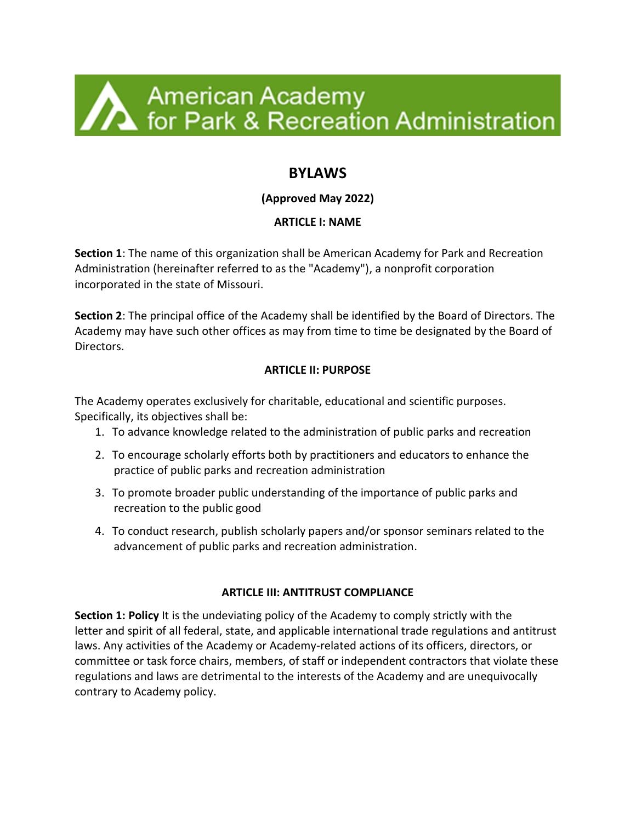

# **BYLAWS**

# **(Approved May 2022)**

## **ARTICLE I: NAME**

**Section 1**: The name of this organization shall be American Academy for Park and Recreation Administration (hereinafter referred to as the "Academy"), a nonprofit corporation incorporated in the state of Missouri.

**Section 2**: The principal office of the Academy shall be identified by the Board of Directors. The Academy may have such other offices as may from time to time be designated by the Board of Directors.

### **ARTICLE II: PURPOSE**

The Academy operates exclusively for charitable, educational and scientific purposes. Specifically, its objectives shall be:

- 1. To advance knowledge related to the administration of public parks and recreation
- 2. To encourage scholarly efforts both by practitioners and educators to enhance the practice of public parks and recreation administration
- 3. To promote broader public understanding of the importance of public parks and recreation to the public good
- 4. To conduct research, publish scholarly papers and/or sponsor seminars related to the advancement of public parks and recreation administration.

### **ARTICLE III: ANTITRUST COMPLIANCE**

**Section 1: Policy** It is the undeviating policy of the Academy to comply strictly with the letter and spirit of all federal, state, and applicable international trade regulations and antitrust laws. Any activities of the Academy or Academy-related actions of its officers, directors, or committee or task force chairs, members, of staff or independent contractors that violate these regulations and laws are detrimental to the interests of the Academy and are unequivocally contrary to Academy policy.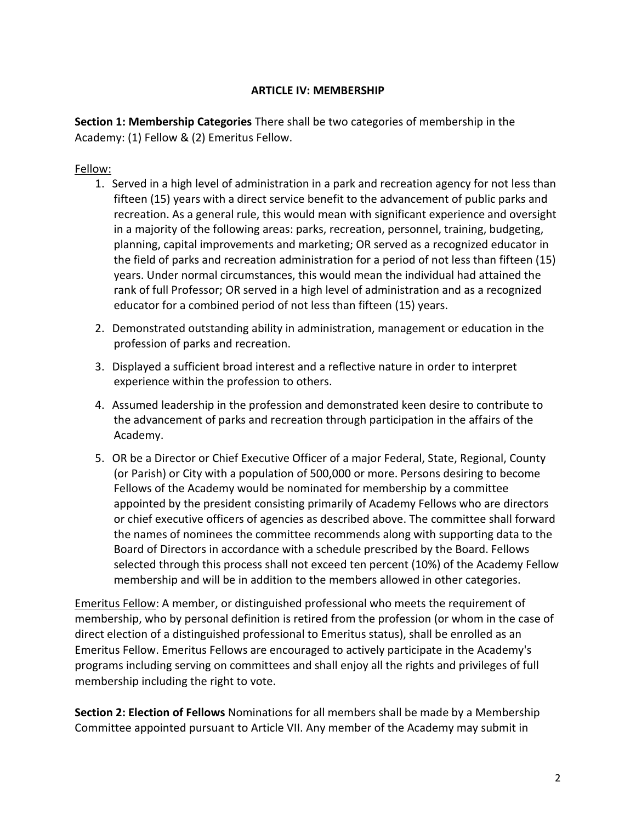#### **ARTICLE IV: MEMBERSHIP**

**Section 1: Membership Categories** There shall be two categories of membership in the Academy: (1) Fellow & (2) Emeritus Fellow.

### Fellow:

- 1. Served in a high level of administration in a park and recreation agency for not less than fifteen (15) years with a direct service benefit to the advancement of public parks and recreation. As a general rule, this would mean with significant experience and oversight in a majority of the following areas: parks, recreation, personnel, training, budgeting, planning, capital improvements and marketing; OR served as a recognized educator in the field of parks and recreation administration for a period of not less than fifteen (15) years. Under normal circumstances, this would mean the individual had attained the rank of full Professor; OR served in a high level of administration and as a recognized educator for a combined period of not less than fifteen (15) years.
- 2. Demonstrated outstanding ability in administration, management or education in the profession of parks and recreation.
- 3. Displayed a sufficient broad interest and a reflective nature in order to interpret experience within the profession to others.
- 4. Assumed leadership in the profession and demonstrated keen desire to contribute to the advancement of parks and recreation through participation in the affairs of the Academy.
- 5. OR be a Director or Chief Executive Officer of a major Federal, State, Regional, County (or Parish) or City with a population of 500,000 or more. Persons desiring to become Fellows of the Academy would be nominated for membership by a committee appointed by the president consisting primarily of Academy Fellows who are directors or chief executive officers of agencies as described above. The committee shall forward the names of nominees the committee recommends along with supporting data to the Board of Directors in accordance with a schedule prescribed by the Board. Fellows selected through this process shall not exceed ten percent (10%) of the Academy Fellow membership and will be in addition to the members allowed in other categories.

Emeritus Fellow: A member, or distinguished professional who meets the requirement of membership, who by personal definition is retired from the profession (or whom in the case of direct election of a distinguished professional to Emeritus status), shall be enrolled as an Emeritus Fellow. Emeritus Fellows are encouraged to actively participate in the Academy's programs including serving on committees and shall enjoy all the rights and privileges of full membership including the right to vote.

**Section 2: Election of Fellows** Nominations for all members shall be made by a Membership Committee appointed pursuant to Article VII. Any member of the Academy may submit in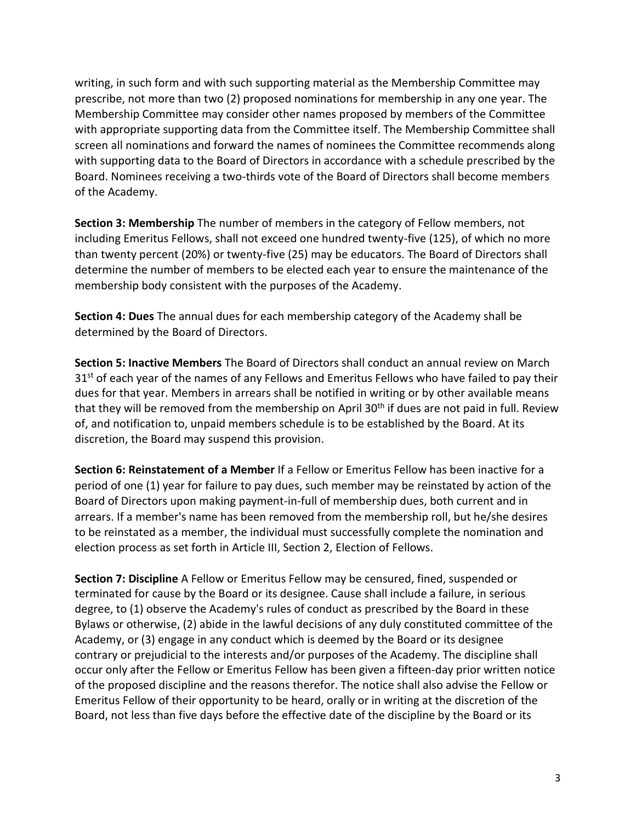writing, in such form and with such supporting material as the Membership Committee may prescribe, not more than two (2) proposed nominations for membership in any one year. The Membership Committee may consider other names proposed by members of the Committee with appropriate supporting data from the Committee itself. The Membership Committee shall screen all nominations and forward the names of nominees the Committee recommends along with supporting data to the Board of Directors in accordance with a schedule prescribed by the Board. Nominees receiving a two-thirds vote of the Board of Directors shall become members of the Academy.

**Section 3: Membership** The number of members in the category of Fellow members, not including Emeritus Fellows, shall not exceed one hundred twenty-five (125), of which no more than twenty percent (20%) or twenty-five (25) may be educators. The Board of Directors shall determine the number of members to be elected each year to ensure the maintenance of the membership body consistent with the purposes of the Academy.

**Section 4: Dues** The annual dues for each membership category of the Academy shall be determined by the Board of Directors.

**Section 5: Inactive Members** The Board of Directors shall conduct an annual review on March 31<sup>st</sup> of each year of the names of any Fellows and Emeritus Fellows who have failed to pay their dues for that year. Members in arrears shall be notified in writing or by other available means that they will be removed from the membership on April 30<sup>th</sup> if dues are not paid in full. Review of, and notification to, unpaid members schedule is to be established by the Board. At its discretion, the Board may suspend this provision.

**Section 6: Reinstatement of a Member** If a Fellow or Emeritus Fellow has been inactive for a period of one (1) year for failure to pay dues, such member may be reinstated by action of the Board of Directors upon making payment-in-full of membership dues, both current and in arrears. If a member's name has been removed from the membership roll, but he/she desires to be reinstated as a member, the individual must successfully complete the nomination and election process as set forth in Article III, Section 2, Election of Fellows.

**Section 7: Discipline** A Fellow or Emeritus Fellow may be censured, fined, suspended or terminated for cause by the Board or its designee. Cause shall include a failure, in serious degree, to (1) observe the Academy's rules of conduct as prescribed by the Board in these Bylaws or otherwise, (2) abide in the lawful decisions of any duly constituted committee of the Academy, or (3) engage in any conduct which is deemed by the Board or its designee contrary or prejudicial to the interests and/or purposes of the Academy. The discipline shall occur only after the Fellow or Emeritus Fellow has been given a fifteen-day prior written notice of the proposed discipline and the reasons therefor. The notice shall also advise the Fellow or Emeritus Fellow of their opportunity to be heard, orally or in writing at the discretion of the Board, not less than five days before the effective date of the discipline by the Board or its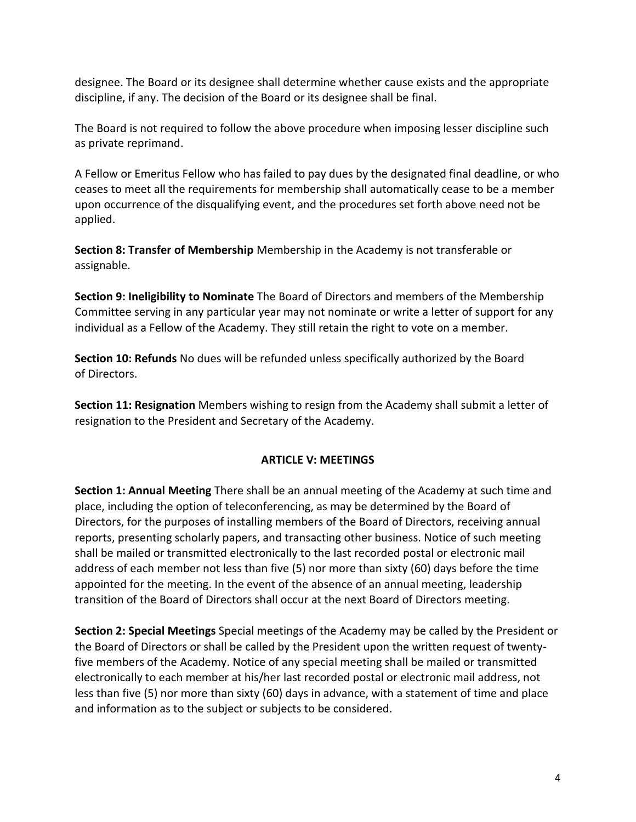designee. The Board or its designee shall determine whether cause exists and the appropriate discipline, if any. The decision of the Board or its designee shall be final.

The Board is not required to follow the above procedure when imposing lesser discipline such as private reprimand.

A Fellow or Emeritus Fellow who has failed to pay dues by the designated final deadline, or who ceases to meet all the requirements for membership shall automatically cease to be a member upon occurrence of the disqualifying event, and the procedures set forth above need not be applied.

**Section 8: Transfer of Membership** Membership in the Academy is not transferable or assignable.

**Section 9: Ineligibility to Nominate** The Board of Directors and members of the Membership Committee serving in any particular year may not nominate or write a letter of support for any individual as a Fellow of the Academy. They still retain the right to vote on a member.

**Section 10: Refunds** No dues will be refunded unless specifically authorized by the Board of Directors.

**Section 11: Resignation** Members wishing to resign from the Academy shall submit a letter of resignation to the President and Secretary of the Academy.

## **ARTICLE V: MEETINGS**

**Section 1: Annual Meeting** There shall be an annual meeting of the Academy at such time and place, including the option of teleconferencing, as may be determined by the Board of Directors, for the purposes of installing members of the Board of Directors, receiving annual reports, presenting scholarly papers, and transacting other business. Notice of such meeting shall be mailed or transmitted electronically to the last recorded postal or electronic mail address of each member not less than five (5) nor more than sixty (60) days before the time appointed for the meeting. In the event of the absence of an annual meeting, leadership transition of the Board of Directors shall occur at the next Board of Directors meeting.

**Section 2: Special Meetings** Special meetings of the Academy may be called by the President or the Board of Directors or shall be called by the President upon the written request of twentyfive members of the Academy. Notice of any special meeting shall be mailed or transmitted electronically to each member at his/her last recorded postal or electronic mail address, not less than five (5) nor more than sixty (60) days in advance, with a statement of time and place and information as to the subject or subjects to be considered.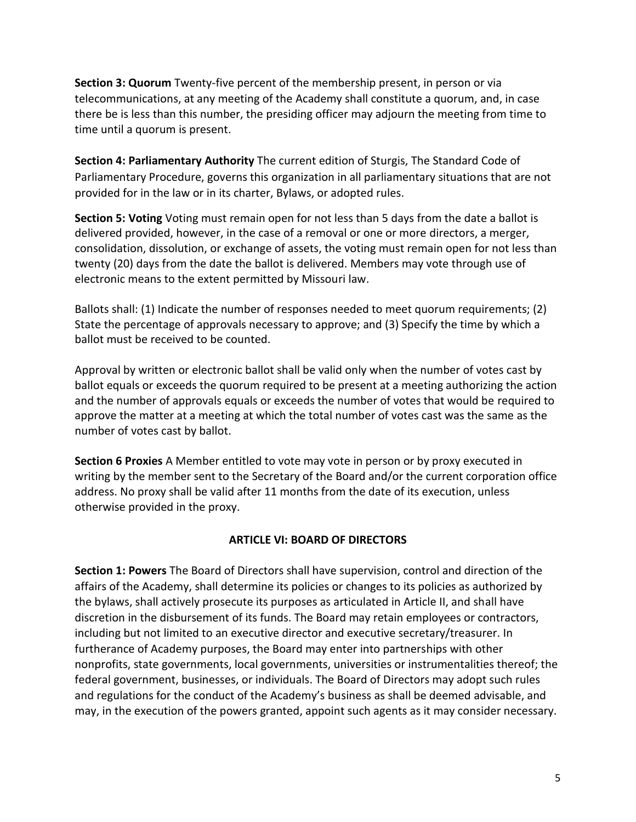**Section 3: Quorum** Twenty-five percent of the membership present, in person or via telecommunications, at any meeting of the Academy shall constitute a quorum, and, in case there be is less than this number, the presiding officer may adjourn the meeting from time to time until a quorum is present.

**Section 4: Parliamentary Authority** The current edition of Sturgis, The Standard Code of Parliamentary Procedure, governs this organization in all parliamentary situations that are not provided for in the law or in its charter, Bylaws, or adopted rules.

**Section 5: Voting** Voting must remain open for not less than 5 days from the date a ballot is delivered provided, however, in the case of a removal or one or more directors, a merger, consolidation, dissolution, or exchange of assets, the voting must remain open for not less than twenty (20) days from the date the ballot is delivered. Members may vote through use of electronic means to the extent permitted by Missouri law.

Ballots shall: (1) Indicate the number of responses needed to meet quorum requirements; (2) State the percentage of approvals necessary to approve; and (3) Specify the time by which a ballot must be received to be counted.

Approval by written or electronic ballot shall be valid only when the number of votes cast by ballot equals or exceeds the quorum required to be present at a meeting authorizing the action and the number of approvals equals or exceeds the number of votes that would be required to approve the matter at a meeting at which the total number of votes cast was the same as the number of votes cast by ballot.

**Section 6 Proxies** A Member entitled to vote may vote in person or by proxy executed in writing by the member sent to the Secretary of the Board and/or the current corporation office address. No proxy shall be valid after 11 months from the date of its execution, unless otherwise provided in the proxy.

### **ARTICLE VI: BOARD OF DIRECTORS**

**Section 1: Powers** The Board of Directors shall have supervision, control and direction of the affairs of the Academy, shall determine its policies or changes to its policies as authorized by the bylaws, shall actively prosecute its purposes as articulated in Article II, and shall have discretion in the disbursement of its funds. The Board may retain employees or contractors, including but not limited to an executive director and executive secretary/treasurer. In furtherance of Academy purposes, the Board may enter into partnerships with other nonprofits, state governments, local governments, universities or instrumentalities thereof; the federal government, businesses, or individuals. The Board of Directors may adopt such rules and regulations for the conduct of the Academy's business as shall be deemed advisable, and may, in the execution of the powers granted, appoint such agents as it may consider necessary.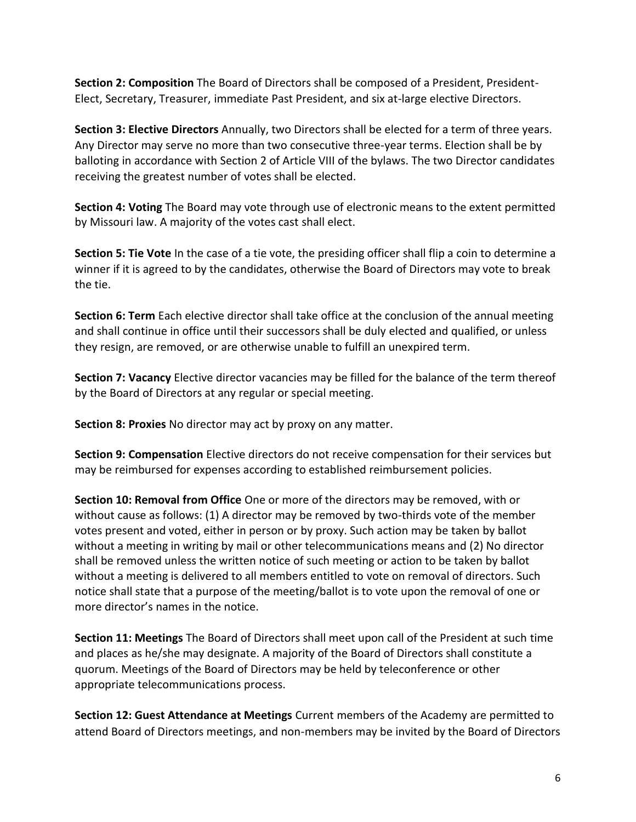**Section 2: Composition** The Board of Directors shall be composed of a President, President-Elect, Secretary, Treasurer, immediate Past President, and six at-large elective Directors.

**Section 3: Elective Directors** Annually, two Directors shall be elected for a term of three years. Any Director may serve no more than two consecutive three-year terms. Election shall be by balloting in accordance with Section 2 of Article VIII of the bylaws. The two Director candidates receiving the greatest number of votes shall be elected.

**Section 4: Voting** The Board may vote through use of electronic means to the extent permitted by Missouri law. A majority of the votes cast shall elect.

**Section 5: Tie Vote** In the case of a tie vote, the presiding officer shall flip a coin to determine a winner if it is agreed to by the candidates, otherwise the Board of Directors may vote to break the tie.

**Section 6: Term** Each elective director shall take office at the conclusion of the annual meeting and shall continue in office until their successors shall be duly elected and qualified, or unless they resign, are removed, or are otherwise unable to fulfill an unexpired term.

**Section 7: Vacancy** Elective director vacancies may be filled for the balance of the term thereof by the Board of Directors at any regular or special meeting.

**Section 8: Proxies** No director may act by proxy on any matter.

**Section 9: Compensation** Elective directors do not receive compensation for their services but may be reimbursed for expenses according to established reimbursement policies.

**Section 10: Removal from Office** One or more of the directors may be removed, with or without cause as follows: (1) A director may be removed by two-thirds vote of the member votes present and voted, either in person or by proxy. Such action may be taken by ballot without a meeting in writing by mail or other telecommunications means and (2) No director shall be removed unless the written notice of such meeting or action to be taken by ballot without a meeting is delivered to all members entitled to vote on removal of directors. Such notice shall state that a purpose of the meeting/ballot is to vote upon the removal of one or more director's names in the notice.

**Section 11: Meetings** The Board of Directors shall meet upon call of the President at such time and places as he/she may designate. A majority of the Board of Directors shall constitute a quorum. Meetings of the Board of Directors may be held by teleconference or other appropriate telecommunications process.

**Section 12: Guest Attendance at Meetings** Current members of the Academy are permitted to attend Board of Directors meetings, and non-members may be invited by the Board of Directors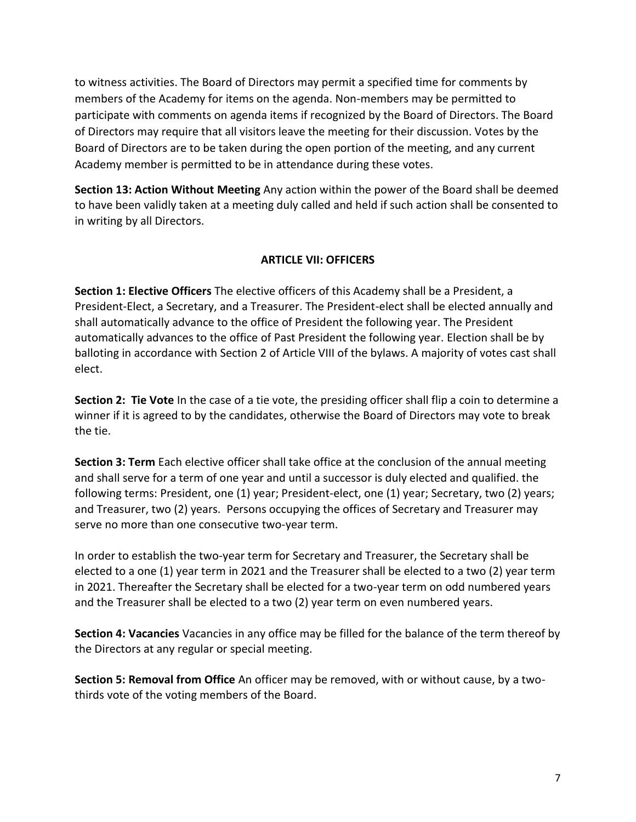to witness activities. The Board of Directors may permit a specified time for comments by members of the Academy for items on the agenda. Non-members may be permitted to participate with comments on agenda items if recognized by the Board of Directors. The Board of Directors may require that all visitors leave the meeting for their discussion. Votes by the Board of Directors are to be taken during the open portion of the meeting, and any current Academy member is permitted to be in attendance during these votes.

**Section 13: Action Without Meeting** Any action within the power of the Board shall be deemed to have been validly taken at a meeting duly called and held if such action shall be consented to in writing by all Directors.

### **ARTICLE VII: OFFICERS**

**Section 1: Elective Officers** The elective officers of this Academy shall be a President, a President-Elect, a Secretary, and a Treasurer. The President-elect shall be elected annually and shall automatically advance to the office of President the following year. The President automatically advances to the office of Past President the following year. Election shall be by balloting in accordance with Section 2 of Article VIII of the bylaws. A majority of votes cast shall elect.

**Section 2: Tie Vote** In the case of a tie vote, the presiding officer shall flip a coin to determine a winner if it is agreed to by the candidates, otherwise the Board of Directors may vote to break the tie.

**Section 3: Term** Each elective officer shall take office at the conclusion of the annual meeting and shall serve for a term of one year and until a successor is duly elected and qualified. the following terms: President, one (1) year; President-elect, one (1) year; Secretary, two (2) years; and Treasurer, two (2) years. Persons occupying the offices of Secretary and Treasurer may serve no more than one consecutive two-year term.

In order to establish the two-year term for Secretary and Treasurer, the Secretary shall be elected to a one (1) year term in 2021 and the Treasurer shall be elected to a two (2) year term in 2021. Thereafter the Secretary shall be elected for a two-year term on odd numbered years and the Treasurer shall be elected to a two (2) year term on even numbered years.

**Section 4: Vacancies** Vacancies in any office may be filled for the balance of the term thereof by the Directors at any regular or special meeting.

**Section 5: Removal from Office** An officer may be removed, with or without cause, by a twothirds vote of the voting members of the Board.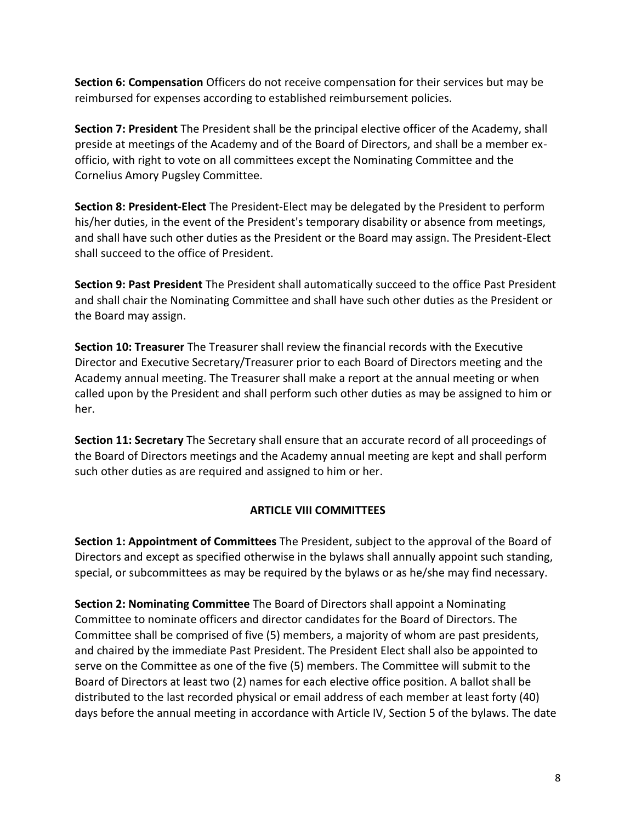**Section 6: Compensation** Officers do not receive compensation for their services but may be reimbursed for expenses according to established reimbursement policies.

**Section 7: President** The President shall be the principal elective officer of the Academy, shall preside at meetings of the Academy and of the Board of Directors, and shall be a member exofficio, with right to vote on all committees except the Nominating Committee and the Cornelius Amory Pugsley Committee.

**Section 8: President-Elect** The President-Elect may be delegated by the President to perform his/her duties, in the event of the President's temporary disability or absence from meetings, and shall have such other duties as the President or the Board may assign. The President-Elect shall succeed to the office of President.

**Section 9: Past President** The President shall automatically succeed to the office Past President and shall chair the Nominating Committee and shall have such other duties as the President or the Board may assign.

**Section 10: Treasurer** The Treasurer shall review the financial records with the Executive Director and Executive Secretary/Treasurer prior to each Board of Directors meeting and the Academy annual meeting. The Treasurer shall make a report at the annual meeting or when called upon by the President and shall perform such other duties as may be assigned to him or her.

**Section 11: Secretary** The Secretary shall ensure that an accurate record of all proceedings of the Board of Directors meetings and the Academy annual meeting are kept and shall perform such other duties as are required and assigned to him or her.

### **ARTICLE VIII COMMITTEES**

**Section 1: Appointment of Committees** The President, subject to the approval of the Board of Directors and except as specified otherwise in the bylaws shall annually appoint such standing, special, or subcommittees as may be required by the bylaws or as he/she may find necessary.

**Section 2: Nominating Committee** The Board of Directors shall appoint a Nominating Committee to nominate officers and director candidates for the Board of Directors. The Committee shall be comprised of five (5) members, a majority of whom are past presidents, and chaired by the immediate Past President. The President Elect shall also be appointed to serve on the Committee as one of the five (5) members. The Committee will submit to the Board of Directors at least two (2) names for each elective office position. A ballot shall be distributed to the last recorded physical or email address of each member at least forty (40) days before the annual meeting in accordance with Article IV, Section 5 of the bylaws. The date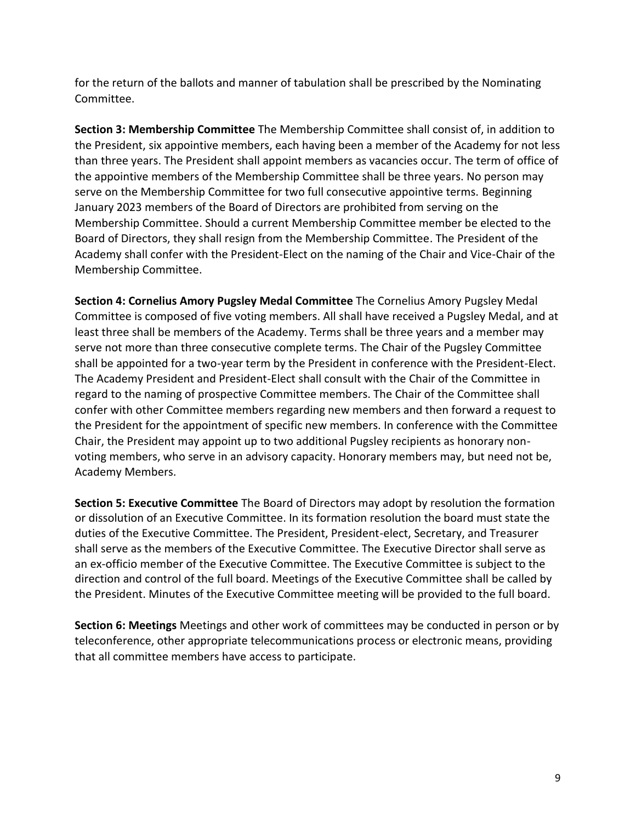for the return of the ballots and manner of tabulation shall be prescribed by the Nominating Committee.

**Section 3: Membership Committee** The Membership Committee shall consist of, in addition to the President, six appointive members, each having been a member of the Academy for not less than three years. The President shall appoint members as vacancies occur. The term of office of the appointive members of the Membership Committee shall be three years. No person may serve on the Membership Committee for two full consecutive appointive terms. Beginning January 2023 members of the Board of Directors are prohibited from serving on the Membership Committee. Should a current Membership Committee member be elected to the Board of Directors, they shall resign from the Membership Committee. The President of the Academy shall confer with the President-Elect on the naming of the Chair and Vice-Chair of the Membership Committee.

**Section 4: Cornelius Amory Pugsley Medal Committee** The Cornelius Amory Pugsley Medal Committee is composed of five voting members. All shall have received a Pugsley Medal, and at least three shall be members of the Academy. Terms shall be three years and a member may serve not more than three consecutive complete terms. The Chair of the Pugsley Committee shall be appointed for a two-year term by the President in conference with the President-Elect. The Academy President and President-Elect shall consult with the Chair of the Committee in regard to the naming of prospective Committee members. The Chair of the Committee shall confer with other Committee members regarding new members and then forward a request to the President for the appointment of specific new members. In conference with the Committee Chair, the President may appoint up to two additional Pugsley recipients as honorary nonvoting members, who serve in an advisory capacity. Honorary members may, but need not be, Academy Members.

**Section 5: Executive Committee** The Board of Directors may adopt by resolution the formation or dissolution of an Executive Committee. In its formation resolution the board must state the duties of the Executive Committee. The President, President-elect, Secretary, and Treasurer shall serve as the members of the Executive Committee. The Executive Director shall serve as an ex-officio member of the Executive Committee. The Executive Committee is subject to the direction and control of the full board. Meetings of the Executive Committee shall be called by the President. Minutes of the Executive Committee meeting will be provided to the full board.

**Section 6: Meetings** Meetings and other work of committees may be conducted in person or by teleconference, other appropriate telecommunications process or electronic means, providing that all committee members have access to participate.